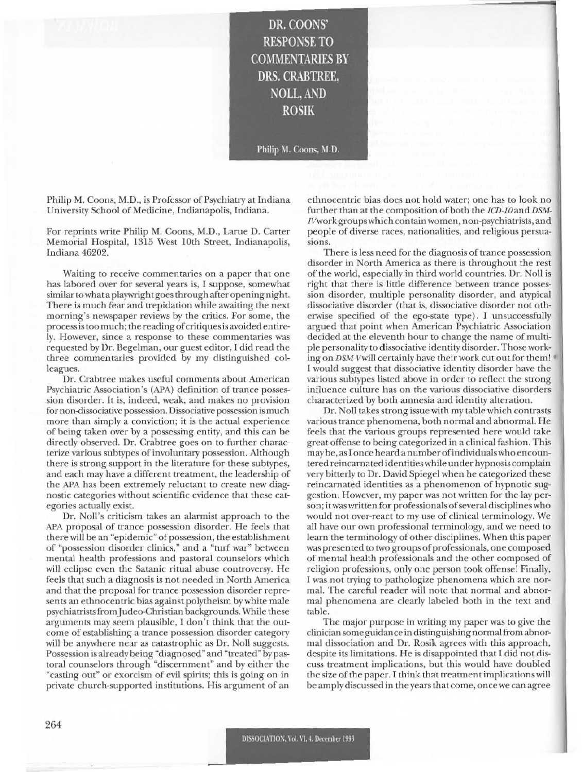DR. COONS' RESPONSE TO **COMMENTARIES BY** DRS. CRABTREE, NOLL, AND ROSIK

Philip M. Coons, M.D.

Philip M. Coons, M.D., is Professor of Psychiatry at Indiana University School of Medicine, Indianapolis, Indiana.

For reprints write Philip M. Coons, M.D., Larue D. Carter Memorial Hospital, 1315 West 10th Street, Indianapolis, Indiana 46202.

Waiting to receive commentaries on a paper that one has labored over for several years is, I suppose. somewhat similar to what a playwright goes through after opening night. There is much fear and trepidation while awaiting the next morning's newspaper reviews by the critics. For some, the process is too much; the rcadingof critiques is avoided entirely. However, since a response to these commentaries was requested by Dr. Begelman, our guest editor, I did read the three commentaries provided by my distinguished colleagues.

Dr. Crabtree makes useful comments about American Psychiatric Association's (APA) definition of trance possession disorder. It is, indeed, weak, and makes no provision for non-dissociative possession. Dissociative possession is much more than simply a conviction; it is the actual experience of being taken over by a possessing entity, and this can be directly observed. Dr. Crabtree goes on to further characterize various subtypes of involuntary possession. Although there is strong support in the literature for these subtypes, and each may have a different treatment, the leadership of the APA has been extremely reluctant to create new diagnostic categories without scientific evidence that these categories actually exist.

Dr. Noll's criticism takes an alarmist approach to the APA proposal of trance possession disorder. He feels that there will be an "epidemic" of possession, the establishment of "possession disorder clinics," and a "turf war" between mental health professions and pastoral counselors which will eclipse even the Satanic ritual abuse controversy. He feels that such a diagnosis is not needed in North America and that the proposal for trance possession disorder represents an ethnocentric bias against polytheism by white male psychiatrists from Judeo-Christian backgrounds. While these arguments may seem plausible, I don 't think that the outcome of establishing a trance possession disorder category will be anywhere near as catastrophic as Dr. Noll suggests. Possession is already being "diagnosed" and "treated" by pastoral counselors through "discernment" and by either the ~casting out" or exorcism of evil spirits; this is going on in private church-supported institutions. His argument of an

e thnocentric bias does not hold water; one has to look no further than at the composition of both the *ICD-10* and *DSM*lVworkgroups which contain wome n, non-psychiatrists, and people of diverse races, nationalities, and religious persuasions.

There is less need for the diagnosis of trance possession disorder in North America as there is throughout the rest of the world, especially in third world countries. Dr. Noll is right that there is little difference between trance possession disorder, multiple personality disorder, and atypical dissociative disorder (that is, dissociative disorder not otherwise specified of the cgo-state type). I unsuccessfully argued that point when American Psychiatric Association decided at the eleventh hour to change the name of multiple personality to dissociative identity disorder. Those working on *DSM-Vwill certainly have their work cut out for them!* I would suggest that dissociative identity disorder have the various subtypes listed above in order to reflect the strong influence culture has on the various dissociative disorders characterized by both amnesia and idcntity alteration.

Dr. Noll takes strong issue with my table which contrasts various trance phenomena, both normal and abnormal. He feels that the various groups represented here would take great offense to being categorized in a clinical fashion. This may be, as I once heard a number of individuals who encountered reincarnated identities while under hypnosis complain very bitterly to Dr. David Spiegel when he categorized these reincarnated identities as a phenomenon of hypnotic suggestion. However, my paper was not written for the lay person; it was written for professionals of several disciplines who would not over-react to my use of clinical terminology. We all have our own professional terminology, and we necd to learn the terminology of other disciplines. When this paper was presented to two groups of professionals, one composed of mental health professionals and the other composed of religion professions, only one person took offense! Finally, I was not trying to pathologize phenomena which are normal. The careful reader will note that normal and abnormal phenomena are clearly labeled both in the text and table.

The major purpose in writing my paper was to give the clinician some guidance in distinguishing normal from abnormal dissociation and Dr. Rosik agrees with this approach, despite its limitations. He is disappointed that I did not discuss treatment implications, but this would have doubled the size of the paper. I think that treatment implicationswill be amply discussed in the years that come, once we can agree